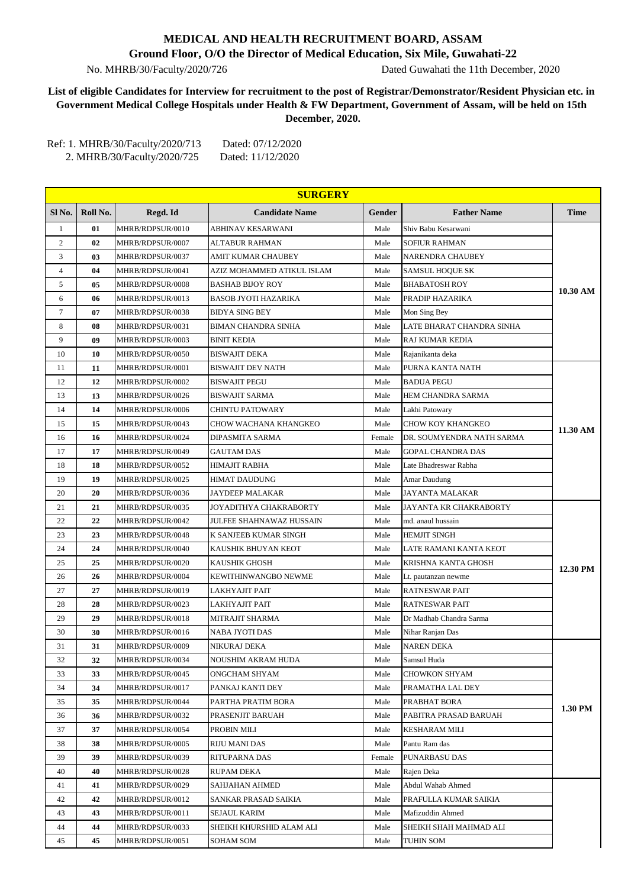## **MEDICAL AND HEALTH RECRUITMENT BOARD, ASSAM**

**Ground Floor, O/O the Director of Medical Education, Six Mile, Guwahati-22**

No. MHRB/30/Faculty/2020/726 Dated Guwahati the 11th December, 2020

## **List of eligible Candidates for Interview for recruitment to the post of Registrar/Demonstrator/Resident Physician etc. in Government Medical College Hospitals under Health & FW Department, Government of Assam, will be held on 15th December, 2020.**

Ref: 1. MHRB/30/Faculty/2020/713 Dated: 07/12/2020 2. MHRB/30/Faculty/2020/725 Dated: 11/12/2020

|                |          |                                      | <b>SURGERY</b>               |              |                                 |             |
|----------------|----------|--------------------------------------|------------------------------|--------------|---------------------------------|-------------|
| Sl No.         | Roll No. | Regd. Id                             | <b>Candidate Name</b>        | Gender       | <b>Father Name</b>              | <b>Time</b> |
| $\mathbf{1}$   | 01       | MHRB/RDPSUR/0010                     | ABHINAV KESARWANI            | Male         | Shiv Babu Kesarwani             |             |
| 2              | 02       | MHRB/RDPSUR/0007                     | <b>ALTABUR RAHMAN</b>        | Male         | <b>SOFIUR RAHMAN</b>            |             |
| 3              | 03       | MHRB/RDPSUR/0037                     | AMIT KUMAR CHAUBEY           | Male         | NARENDRA CHAUBEY                |             |
| $\overline{4}$ | 04       | MHRB/RDPSUR/0041                     | AZIZ MOHAMMED ATIKUL ISLAM   | Male         | <b>SAMSUL HOQUE SK</b>          |             |
| 5              | 05       | MHRB/RDPSUR/0008                     | <b>BASHAB BIJOY ROY</b>      | Male         | <b>BHABATOSH ROY</b>            | 10.30 AM    |
| 6              | 06       | MHRB/RDPSUR/0013                     | BASOB JYOTI HAZARIKA         | Male         | PRADIP HAZARIKA                 |             |
| $\tau$         | 07       | MHRB/RDPSUR/0038                     | <b>BIDYA SING BEY</b>        | Male         | Mon Sing Bey                    |             |
| 8              | 08       | MHRB/RDPSUR/0031                     | BIMAN CHANDRA SINHA          | Male         | LATE BHARAT CHANDRA SINHA       |             |
| 9              | 09       | MHRB/RDPSUR/0003                     | <b>BINIT KEDIA</b>           | Male         | RAJ KUMAR KEDIA                 |             |
| 10             | 10       | MHRB/RDPSUR/0050                     | BISWAJIT DEKA                | Male         | Rajanikanta deka                |             |
| 11             | 11       | MHRB/RDPSUR/0001                     | <b>BISWAJIT DEV NATH</b>     | Male         | PURNA KANTA NATH                |             |
| 12             | 12       | MHRB/RDPSUR/0002                     | <b>BISWAJIT PEGU</b>         | Male         | <b>BADUA PEGU</b>               |             |
| 13             | 13       | MHRB/RDPSUR/0026                     | <b>BISWAJIT SARMA</b>        | Male         | HEM CHANDRA SARMA               |             |
| 14             | 14       | MHRB/RDPSUR/0006                     | <b>CHINTU PATOWARY</b>       | Male         | Lakhi Patowary                  |             |
| 15             | 15       | MHRB/RDPSUR/0043                     | CHOW WACHANA KHANGKEO        | Male         | CHOW KOY KHANGKEO               |             |
| 16             | 16       | MHRB/RDPSUR/0024                     | DIPASMITA SARMA              | Female       | DR. SOUMYENDRA NATH SARMA       | 11.30 AM    |
| 17             | 17       | MHRB/RDPSUR/0049                     | <b>GAUTAM DAS</b>            | Male         | <b>GOPAL CHANDRA DAS</b>        |             |
| 18             | 18       | MHRB/RDPSUR/0052                     | HIMAJIT RABHA                | Male         | Late Bhadreswar Rabha           |             |
| 19             | 19       | MHRB/RDPSUR/0025                     | <b>HIMAT DAUDUNG</b>         | Male         | Amar Daudung                    |             |
| 20             | 20       | MHRB/RDPSUR/0036                     | JAYDEEP MALAKAR              | Male         | JAYANTA MALAKAR                 |             |
| 21             | 21       | MHRB/RDPSUR/0035                     | JOYADITHYA CHAKRABORTY       | Male         | JAYANTA KR CHAKRABORTY          |             |
| 22             | 22       | MHRB/RDPSUR/0042                     | JULFEE SHAHNAWAZ HUSSAIN     | Male         | md. anaul hussain               |             |
| 23             | 23       | MHRB/RDPSUR/0048                     | K SANJEEB KUMAR SINGH        | Male         | <b>HEMJIT SINGH</b>             |             |
| 24             | 24       | MHRB/RDPSUR/0040                     | KAUSHIK BHUYAN KEOT          | Male         | LATE RAMANI KANTA KEOT          |             |
| 25             | 25       | MHRB/RDPSUR/0020                     | KAUSHIK GHOSH                | Male         | KRISHNA KANTA GHOSH             |             |
| 26             | 26       | MHRB/RDPSUR/0004                     | KEWITHINWANGBO NEWME         | Male         | Lt. pautanzan newme             | 12.30 PM    |
| 27             | 27       | MHRB/RDPSUR/0019                     | LAKHYAJIT PAIT               | Male         | <b>RATNESWAR PAIT</b>           |             |
| 28             | 28       | MHRB/RDPSUR/0023                     | LAKHYAJIT PAIT               | Male         | <b>RATNESWAR PAIT</b>           |             |
| 29             | 29       | MHRB/RDPSUR/0018                     | MITRAJIT SHARMA              | Male         | Dr Madhab Chandra Sarma         |             |
| 30             | 30       | MHRB/RDPSUR/0016                     | NABA JYOTI DAS               | Male         | Nihar Ranjan Das                |             |
| 31             | 31       | MHRB/RDPSUR/0009                     | NIKURAJ DEKA                 | Male         | <b>NAREN DEKA</b>               |             |
| 32             | 32       | MHRB/RDPSUR/0034                     | NOUSHIM AKRAM HUDA           | Male         | Samsul Huda                     |             |
| 33             | 33       | MHRB/RDPSUR/0045                     | ONGCHAM SHYAM                | Male         | <b>CHOWKON SHYAM</b>            |             |
| 34             | 34       | MHRB/RDPSUR/0017                     | PANKAJ KANTI DEY             | Male         | PRAMATHA LAL DEY                |             |
| 35             | 35       | MHRB/RDPSUR/0044                     | PARTHA PRATIM BORA           | Male         | PRABHAT BORA                    |             |
| 36             | 36       | MHRB/RDPSUR/0032                     | PRASENJIT BARUAH             | Male         | PABITRA PRASAD BARUAH           | 1.30 PM     |
| 37             | 37       | MHRB/RDPSUR/0054                     | PROBIN MILI                  | Male         | <b>KESHARAM MILI</b>            |             |
| 38             | 38       | MHRB/RDPSUR/0005                     | <b>RIJU MANI DAS</b>         | Male         | Pantu Ram das                   |             |
| 39             | 39       | MHRB/RDPSUR/0039                     | RITUPARNA DAS                | Female       | PUNARBASU DAS                   |             |
| 40             | 40       |                                      |                              |              |                                 |             |
|                |          | MHRB/RDPSUR/0028<br>MHRB/RDPSUR/0029 | RUPAM DEKA<br>SAHJAHAN AHMED | Male<br>Male | Rajen Deka<br>Abdul Wahab Ahmed |             |
| 41             | 41       |                                      |                              |              |                                 |             |
| 42             | 42       | MHRB/RDPSUR/0012                     | SANKAR PRASAD SAIKIA         | Male         | PRAFULLA KUMAR SAIKIA           |             |
| 43             | 43       | MHRB/RDPSUR/0011                     | SEJAUL KARIM                 | Male         | Mafizuddin Ahmed                |             |
| 44             | 44       | MHRB/RDPSUR/0033                     | SHEIKH KHURSHID ALAM ALI     | Male         | SHEIKH SHAH MAHMAD ALI          |             |
| 45             | 45       | MHRB/RDPSUR/0051                     | SOHAM SOM                    | Male         | TUHIN SOM                       |             |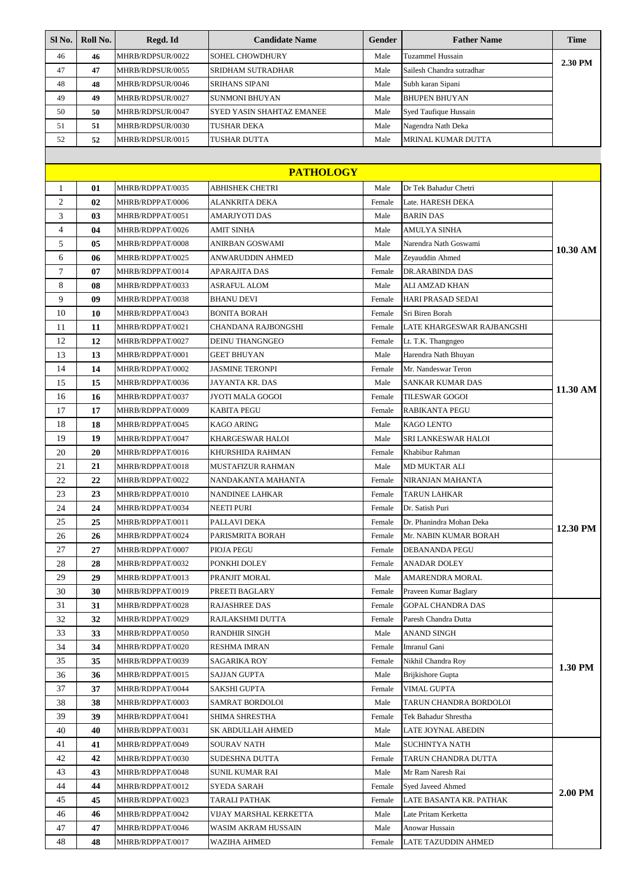| Sl No.           | Roll No. | Regd. Id                             | <b>Candidate Name</b>                    | Gender           | <b>Father Name</b>                         | <b>Time</b> |  |  |
|------------------|----------|--------------------------------------|------------------------------------------|------------------|--------------------------------------------|-------------|--|--|
| 46               | 46       | MHRB/RDPSUR/0022                     | SOHEL CHOWDHURY                          | Male             | Tuzammel Hussain                           | 2.30 PM     |  |  |
| 47               | 47       | MHRB/RDPSUR/0055                     | SRIDHAM SUTRADHAR                        | Male             | Sailesh Chandra sutradhar                  |             |  |  |
| 48               | 48       | MHRB/RDPSUR/0046                     | <b>SRIHANS SIPANI</b>                    | Male             | Subh karan Sipani                          |             |  |  |
| 49               | 49       | MHRB/RDPSUR/0027                     | <b>SUNMONI BHUYAN</b>                    | Male             | <b>BHUPEN BHUYAN</b>                       |             |  |  |
| 50               | 50       | MHRB/RDPSUR/0047                     | SYED YASIN SHAHTAZ EMANEE                | Male             | Syed Taufique Hussain                      |             |  |  |
| 51               | 51       | MHRB/RDPSUR/0030                     | TUSHAR DEKA                              | Male             | Nagendra Nath Deka                         |             |  |  |
| 52               | 52       | MHRB/RDPSUR/0015                     | TUSHAR DUTTA                             | Male             | MRINAL KUMAR DUTTA                         |             |  |  |
|                  |          |                                      |                                          |                  |                                            |             |  |  |
| <b>PATHOLOGY</b> |          |                                      |                                          |                  |                                            |             |  |  |
| 1                | 01       | MHRB/RDPPAT/0035                     | ABHISHEK CHETRI                          | Male             | Dr Tek Bahadur Chetri                      |             |  |  |
| $\overline{c}$   | 02       | MHRB/RDPPAT/0006                     | ALANKRITA DEKA                           | Female           | Late. HARESH DEKA                          |             |  |  |
| 3                | 03       | MHRB/RDPPAT/0051                     | AMARJYOTI DAS                            | Male             | <b>BARIN DAS</b>                           |             |  |  |
| $\overline{4}$   | 04       | MHRB/RDPPAT/0026                     | AMIT SINHA                               | Male             | AMULYA SINHA                               |             |  |  |
| 5                | 05       | MHRB/RDPPAT/0008                     | ANIRBAN GOSWAMI                          | Male             | Narendra Nath Goswami                      |             |  |  |
| 6                | 06       | MHRB/RDPPAT/0025                     | ANWARUDDIN AHMED                         | Male             | Zeyauddin Ahmed                            | 10.30 AM    |  |  |
| $\tau$           | 07       | MHRB/RDPPAT/0014                     | APARAJITA DAS                            | Female           | DR.ARABINDA DAS                            |             |  |  |
| 8                | 08       | MHRB/RDPPAT/0033                     | <b>ASRAFUL ALOM</b>                      | Male             | ALI AMZAD KHAN                             |             |  |  |
| 9                | 09       | MHRB/RDPPAT/0038                     | <b>BHANU DEVI</b>                        | Female           | HARI PRASAD SEDAI                          |             |  |  |
| 10               | 10       | MHRB/RDPPAT/0043                     | <b>BONITA BORAH</b>                      | Female           | Sri Biren Borah                            |             |  |  |
| 11               | 11       | MHRB/RDPPAT/0021                     | CHANDANA RAJBONGSHI                      | Female           | LATE KHARGESWAR RAJBANGSHI                 |             |  |  |
| 12               | 12       | MHRB/RDPPAT/0027                     | DEINU THANGNGEO                          | Female           | Lt. T.K. Thangngeo                         |             |  |  |
| 13               | 13       | MHRB/RDPPAT/0001                     | <b>GEET BHUYAN</b>                       | Male             | Harendra Nath Bhuyan                       |             |  |  |
| 14               | 14       | MHRB/RDPPAT/0002                     | <b>JASMINE TERONPI</b>                   | Female           | Mr. Nandeswar Teron                        |             |  |  |
| 15               | 15       | MHRB/RDPPAT/0036                     | JAYANTA KR. DAS                          | Male             | SANKAR KUMAR DAS                           |             |  |  |
| 16               | 16       | MHRB/RDPPAT/0037                     | JYOTI MALA GOGOI                         | Female           | TILESWAR GOGOI                             | 11.30 AM    |  |  |
| 17               | 17       | MHRB/RDPPAT/0009                     | KABITA PEGU                              | Female           | RABIKANTA PEGU                             |             |  |  |
| 18               | 18       | MHRB/RDPPAT/0045                     | <b>KAGO ARING</b>                        | Male             | KAGO LENTO                                 |             |  |  |
| 19               | 19       | MHRB/RDPPAT/0047                     | <b>KHARGESWAR HALOI</b>                  | Male             | SRI LANKESWAR HALOI                        |             |  |  |
| 20               | 20       | MHRB/RDPPAT/0016                     | KHURSHIDA RAHMAN                         | Female           | Khabibur Rahman                            |             |  |  |
| 21               | 21       | MHRB/RDPPAT/0018                     | MUSTAFIZUR RAHMAN                        | Male             | MD MUKTAR ALI                              |             |  |  |
| 22               | 22       | MHRB/RDPPAT/0022                     | NANDAKANTA MAHANTA                       | Female           | NIRANJAN MAHANTA                           |             |  |  |
| 23               | 23       | MHRB/RDPPAT/0010                     | NANDINEE LAHKAR                          | Female           | <b>TARUN LAHKAR</b>                        |             |  |  |
| 24               | 24       | MHRB/RDPPAT/0034                     | <b>NEETI PURI</b>                        | Female           | Dr. Satish Puri                            |             |  |  |
| 25               | 25       | MHRB/RDPPAT/0011                     | PALLAVI DEKA                             | Female           | Dr. Phanindra Mohan Deka                   |             |  |  |
|                  |          |                                      |                                          | Female           |                                            | 12.30 PM    |  |  |
| 26<br>27         | 26<br>27 | MHRB/RDPPAT/0024                     | PARISMRITA BORAH<br>PIOJA PEGU           |                  | Mr. NABIN KUMAR BORAH                      |             |  |  |
| 28               | 28       | MHRB/RDPPAT/0007<br>MHRB/RDPPAT/0032 | PONKHI DOLEY                             | Female<br>Female | DEBANANDA PEGU<br>ANADAR DOLEY             |             |  |  |
|                  |          | MHRB/RDPPAT/0013                     | PRANJIT MORAL                            | Male             | AMARENDRA MORAL                            |             |  |  |
| 29               | 29       |                                      |                                          |                  | Praveen Kumar Baglary                      |             |  |  |
| 30<br>31         | 30       | MHRB/RDPPAT/0019                     | PREETI BAGLARY                           | Female           |                                            |             |  |  |
|                  | 31<br>32 | MHRB/RDPPAT/0028<br>MHRB/RDPPAT/0029 | <b>RAJASHREE DAS</b><br>RAJLAKSHMI DUTTA | Female           | GOPAL CHANDRA DAS                          |             |  |  |
| 32<br>33         | 33       | MHRB/RDPPAT/0050                     | <b>RANDHIR SINGH</b>                     | Female           | Paresh Chandra Dutta<br><b>ANAND SINGH</b> |             |  |  |
| 34               | 34       | MHRB/RDPPAT/0020                     | <b>RESHMA IMRAN</b>                      | Male<br>Female   | Imranul Gani                               |             |  |  |
|                  | 35       |                                      |                                          |                  |                                            |             |  |  |
| 35<br>36         |          | MHRB/RDPPAT/0039                     | SAGARIKA ROY                             | Female           | Nikhil Chandra Roy                         | 1.30 PM     |  |  |
| 37               | 36<br>37 | MHRB/RDPPAT/0015<br>MHRB/RDPPAT/0044 | SAJJAN GUPTA<br>SAKSHI GUPTA             | Male<br>Female   | Brijkishore Gupta<br>VIMAL GUPTA           |             |  |  |
|                  |          |                                      |                                          |                  |                                            |             |  |  |
| 38<br>39         | 38       | MHRB/RDPPAT/0003                     | SAMRAT BORDOLOI<br><b>SHIMA SHRESTHA</b> | Male             | TARUN CHANDRA BORDOLOI                     |             |  |  |
|                  | 39       | MHRB/RDPPAT/0041                     |                                          | Female           | Tek Bahadur Shrestha                       |             |  |  |
| 40               | 40       | MHRB/RDPPAT/0031                     | SK ABDULLAH AHMED                        | Male             | LATE JOYNAL ABEDIN                         |             |  |  |
| 41               | 41       | MHRB/RDPPAT/0049                     | SOURAV NATH                              | Male             | SUCHINTYA NATH                             |             |  |  |
| 42               | 42       | MHRB/RDPPAT/0030                     | SUDESHNA DUTTA                           | Female           | TARUN CHANDRA DUTTA                        |             |  |  |
| 43               | 43       | MHRB/RDPPAT/0048                     | <b>SUNIL KUMAR RAI</b>                   | Male             | Mr Ram Naresh Rai                          |             |  |  |
| 44               | 44       | MHRB/RDPPAT/0012                     | <b>SYEDA SARAH</b>                       | Female           | Syed Javeed Ahmed                          | 2.00 PM     |  |  |
| 45               | 45       | MHRB/RDPPAT/0023                     | TARALI PATHAK                            | Female           | LATE BASANTA KR. PATHAK                    |             |  |  |
| 46               | 46       | MHRB/RDPPAT/0042                     | VIJAY MARSHAL KERKETTA                   | Male             | Late Pritam Kerketta                       |             |  |  |
| 47               | 47       | MHRB/RDPPAT/0046                     | WASIM AKRAM HUSSAIN                      | Male             | Anowar Hussain                             |             |  |  |
| 48               | 48       | MHRB/RDPPAT/0017                     | <b>WAZIHA AHMED</b>                      | Female           | LATE TAZUDDIN AHMED                        |             |  |  |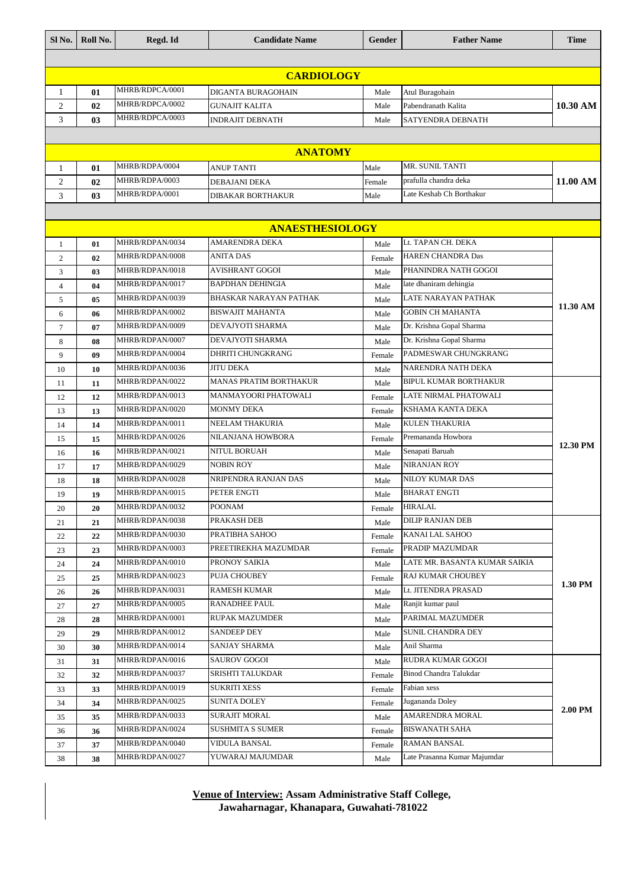| SI <sub>No.</sub> | Roll No.       | Regd. Id        | <b>Candidate Name</b>         | Gender         | <b>Father Name</b>            | <b>Time</b> |  |
|-------------------|----------------|-----------------|-------------------------------|----------------|-------------------------------|-------------|--|
|                   |                |                 |                               |                |                               |             |  |
| <b>CARDIOLOGY</b> |                |                 |                               |                |                               |             |  |
| 1                 | 01             | MHRB/RDPCA/0001 | DIGANTA BURAGOHAIN            | Male           | Atul Buragohain               |             |  |
| $\overline{2}$    | 02             | MHRB/RDPCA/0002 | <b>GUNAJIT KALITA</b>         | Male           | Pabendranath Kalita           | 10.30 AM    |  |
| 3                 | 0 <sub>3</sub> | MHRB/RDPCA/0003 | <b>INDRAJIT DEBNATH</b>       | Male           | SATYENDRA DEBNATH             |             |  |
|                   |                |                 |                               |                |                               |             |  |
|                   |                |                 | <b>ANATOMY</b>                |                |                               |             |  |
| 1                 | 01             | MHRB/RDPA/0004  | ANUP TANTI                    | Male           | MR. SUNIL TANTI               |             |  |
| $\overline{2}$    | 02             | MHRB/RDPA/0003  | DEBAJANI DEKA                 | Female         | prafulla chandra deka         | 11.00 AM    |  |
| 3                 | 03             | MHRB/RDPA/0001  | <b>DIBAKAR BORTHAKUR</b>      | Male           | Late Keshab Ch Borthakur      |             |  |
|                   |                |                 |                               |                |                               |             |  |
|                   |                |                 | <b>ANAESTHESIOLOGY</b>        |                |                               |             |  |
|                   |                | MHRB/RDPAN/0034 | <b>AMARENDRA DEKA</b>         |                | Lt. TAPAN CH. DEKA            |             |  |
| 1                 | 01             | MHRB/RDPAN/0008 | <b>ANITA DAS</b>              | Male           | <b>HAREN CHANDRA Das</b>      |             |  |
| 2                 | 02             | MHRB/RDPAN/0018 | <b>AVISHRANT GOGOI</b>        | Female         | PHANINDRA NATH GOGOI          |             |  |
| 3                 | 03             | MHRB/RDPAN/0017 | <b>BAPDHAN DEHINGIA</b>       | Male           | late dhaniram dehingia        |             |  |
| $\overline{4}$    | 04             | MHRB/RDPAN/0039 | BHASKAR NARAYAN PATHAK        | Male<br>Male   | <b>LATE NARAYAN PATHAK</b>    |             |  |
| 5                 | 05             | MHRB/RDPAN/0002 | <b>BISWAJIT MAHANTA</b>       | Male           | <b>GOBIN CH MAHANTA</b>       | 11.30 AM    |  |
| 6                 | 06             | MHRB/RDPAN/0009 | DEVAJYOTI SHARMA              |                | Dr. Krishna Gopal Sharma      |             |  |
| 7                 | 07<br>08       | MHRB/RDPAN/0007 | DEVAJYOTI SHARMA              | Male<br>Male   | Dr. Krishna Gopal Sharma      |             |  |
| 8                 | 09             | MHRB/RDPAN/0004 | <b>DHRITI CHUNGKRANG</b>      |                | PADMESWAR CHUNGKRANG          |             |  |
| 9                 |                | MHRB/RDPAN/0036 | JITU DEKA                     | Female<br>Male | NARENDRA NATH DEKA            |             |  |
| 10                | 10             | MHRB/RDPAN/0022 | <b>MANAS PRATIM BORTHAKUR</b> |                | <b>BIPUL KUMAR BORTHAKUR</b>  |             |  |
| 11                | 11             | MHRB/RDPAN/0013 | MANMAYOORI PHATOWALI          | Male           | LATE NIRMAL PHATOWALI         |             |  |
| 12                | 12<br>13       | MHRB/RDPAN/0020 | <b>MONMY DEKA</b>             | Female         | KSHAMA KANTA DEKA             |             |  |
| 13<br>14          | 14             | MHRB/RDPAN/0011 | NEELAM THAKURIA               | Female<br>Male | <b>KULEN THAKURIA</b>         |             |  |
| 15                | 15             | MHRB/RDPAN/0026 | NILANJANA HOWBORA             | Female         | Premananda Howbora            |             |  |
| 16                | 16             | MHRB/RDPAN/0021 | NITUL BORUAH                  | Male           | Senapati Baruah               | 12.30 PM    |  |
| 17                | 17             | MHRB/RDPAN/0029 | <b>NOBIN ROY</b>              | Male           | <b>NIRANJAN ROY</b>           |             |  |
| 18                | 18             | MHRB/RDPAN/0028 | NRIPENDRA RANJAN DAS          | Male           | NILOY KUMAR DAS               |             |  |
| 19                | 19             | MHRB/RDPAN/0015 | PETER ENGTI                   | Male           | <b>BHARAT ENGTI</b>           |             |  |
| 20                | 20             | MHRB/RDPAN/0032 | <b>POONAM</b>                 | Female         | <b>HIRALAL</b>                |             |  |
| 21                | 21             | MHRB/RDPAN/0038 | PRAKASH DEB                   | Male           | <b>DILIP RANJAN DEB</b>       |             |  |
| 22                | 22             | MHRB/RDPAN/0030 | PRATIBHA SAHOO                | Female         | KANAI LAL SAHOO               |             |  |
| 23                | 23             | MHRB/RDPAN/0003 | PREETIREKHA MAZUMDAR          | Female         | PRADIP MAZUMDAR               |             |  |
| 24                | 24             | MHRB/RDPAN/0010 | PRONOY SAIKIA                 | Male           | LATE MR. BASANTA KUMAR SAIKIA |             |  |
| 25                | 25             | MHRB/RDPAN/0023 | <b>PUJA CHOUBEY</b>           | Female         | <b>RAJ KUMAR CHOUBEY</b>      | 1.30 PM     |  |
| 26                | 26             | MHRB/RDPAN/0031 | RAMESH KUMAR                  | Male           | Lt. JITENDRA PRASAD           |             |  |
| 27                | 27             | MHRB/RDPAN/0005 | <b>RANADHEE PAUL</b>          | Male           | Ranjit kumar paul             |             |  |
| 28                | 28             | MHRB/RDPAN/0001 | RUPAK MAZUMDER                | Male           | PARIMAL MAZUMDER              |             |  |
| 29                | 29             | MHRB/RDPAN/0012 | <b>SANDEEP DEY</b>            | Male           | <b>SUNIL CHANDRA DEY</b>      |             |  |
| 30                | 30             | MHRB/RDPAN/0014 | SANJAY SHARMA                 | Male           | Anil Sharma                   |             |  |
| 31                | 31             | MHRB/RDPAN/0016 | <b>SAUROV GOGOI</b>           | Male           | RUDRA KUMAR GOGOI             |             |  |
| 32                | 32             | MHRB/RDPAN/0037 | SRISHTI TALUKDAR              | Female         | Binod Chandra Talukdar        |             |  |
| 33                | 33             | MHRB/RDPAN/0019 | <b>SUKRITI XESS</b>           | Female         | Fabian xess                   |             |  |
| 34                | 34             | MHRB/RDPAN/0025 | SUNITA DOLEY                  | Female         | Jugananda Doley               |             |  |
| 35                | 35             | MHRB/RDPAN/0033 | <b>SURAJIT MORAL</b>          | Male           | AMARENDRA MORAL               | 2.00 PM     |  |
| 36                | 36             | MHRB/RDPAN/0024 | <b>SUSHMITA S SUMER</b>       | Female         | <b>BISWANATH SAHA</b>         |             |  |
| 37                | 37             | MHRB/RDPAN/0040 | VIDULA BANSAL                 | Female         | <b>RAMAN BANSAL</b>           |             |  |
| 38                | 38             | MHRB/RDPAN/0027 | YUWARAJ MAJUMDAR              | Male           | Late Prasanna Kumar Majumdar  |             |  |

**Venue of Interview: Assam Administrative Staff College, Jawaharnagar, Khanapara, Guwahati-781022**